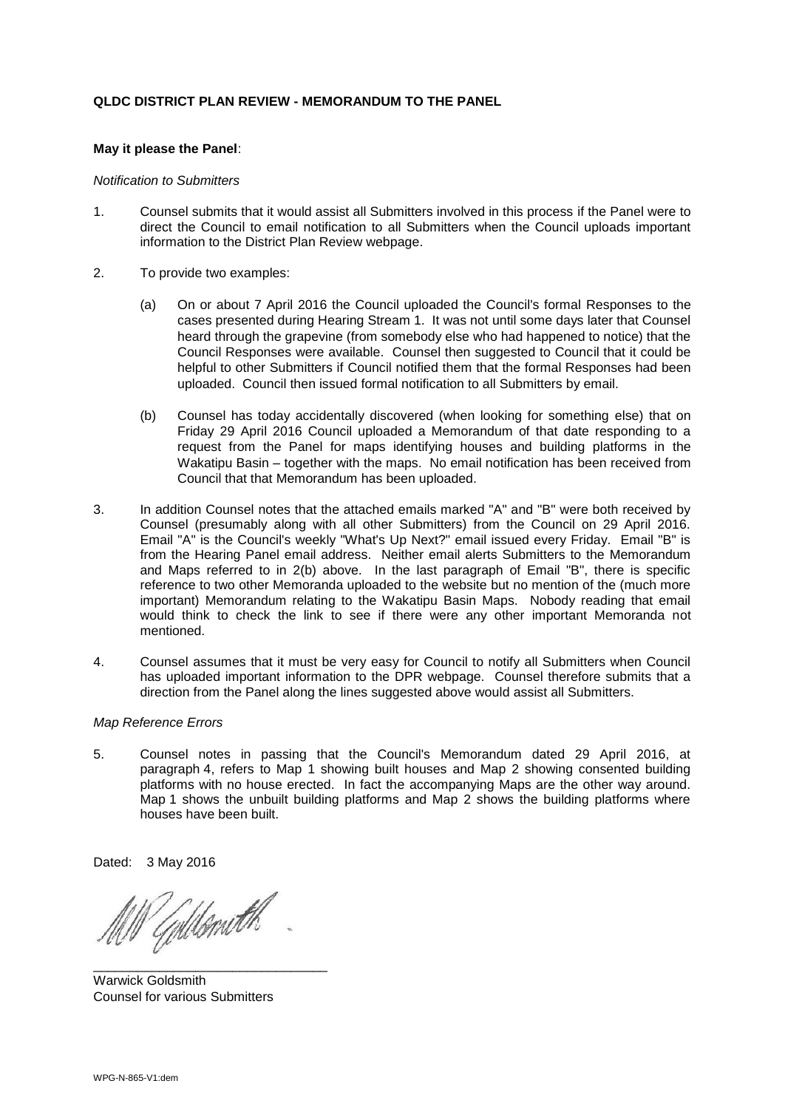### **QLDC DISTRICT PLAN REVIEW - MEMORANDUM TO THE PANEL**

### **May it please the Panel**:

#### *Notification to Submitters*

- 1. Counsel submits that it would assist all Submitters involved in this process if the Panel were to direct the Council to email notification to all Submitters when the Council uploads important information to the District Plan Review webpage.
- 2. To provide two examples:
	- (a) On or about 7 April 2016 the Council uploaded the Council's formal Responses to the cases presented during Hearing Stream 1. It was not until some days later that Counsel heard through the grapevine (from somebody else who had happened to notice) that the Council Responses were available. Counsel then suggested to Council that it could be helpful to other Submitters if Council notified them that the formal Responses had been uploaded. Council then issued formal notification to all Submitters by email.
	- (b) Counsel has today accidentally discovered (when looking for something else) that on Friday 29 April 2016 Council uploaded a Memorandum of that date responding to a request from the Panel for maps identifying houses and building platforms in the Wakatipu Basin – together with the maps. No email notification has been received from Council that that Memorandum has been uploaded.
- 3. In addition Counsel notes that the attached emails marked "A" and "B" were both received by Counsel (presumably along with all other Submitters) from the Council on 29 April 2016. Email "A" is the Council's weekly "What's Up Next?" email issued every Friday. Email "B" is from the Hearing Panel email address. Neither email alerts Submitters to the Memorandum and Maps referred to in 2(b) above. In the last paragraph of Email "B", there is specific reference to two other Memoranda uploaded to the website but no mention of the (much more important) Memorandum relating to the Wakatipu Basin Maps. Nobody reading that email would think to check the link to see if there were any other important Memoranda not mentioned.
- 4. Counsel assumes that it must be very easy for Council to notify all Submitters when Council has uploaded important information to the DPR webpage. Counsel therefore submits that a direction from the Panel along the lines suggested above would assist all Submitters.

#### *Map Reference Errors*

5. Counsel notes in passing that the Council's Memorandum dated 29 April 2016, at paragraph 4, refers to Map 1 showing built houses and Map 2 showing consented building platforms with no house erected. In fact the accompanying Maps are the other way around. Map 1 shows the unbuilt building platforms and Map 2 shows the building platforms where houses have been built.

Dated: 3 May 2016

Goldsmith

\_\_\_\_\_\_\_\_\_\_\_\_\_\_\_\_\_\_\_\_\_\_\_\_\_\_\_\_\_\_\_\_

Warwick Goldsmith Counsel for various Submitters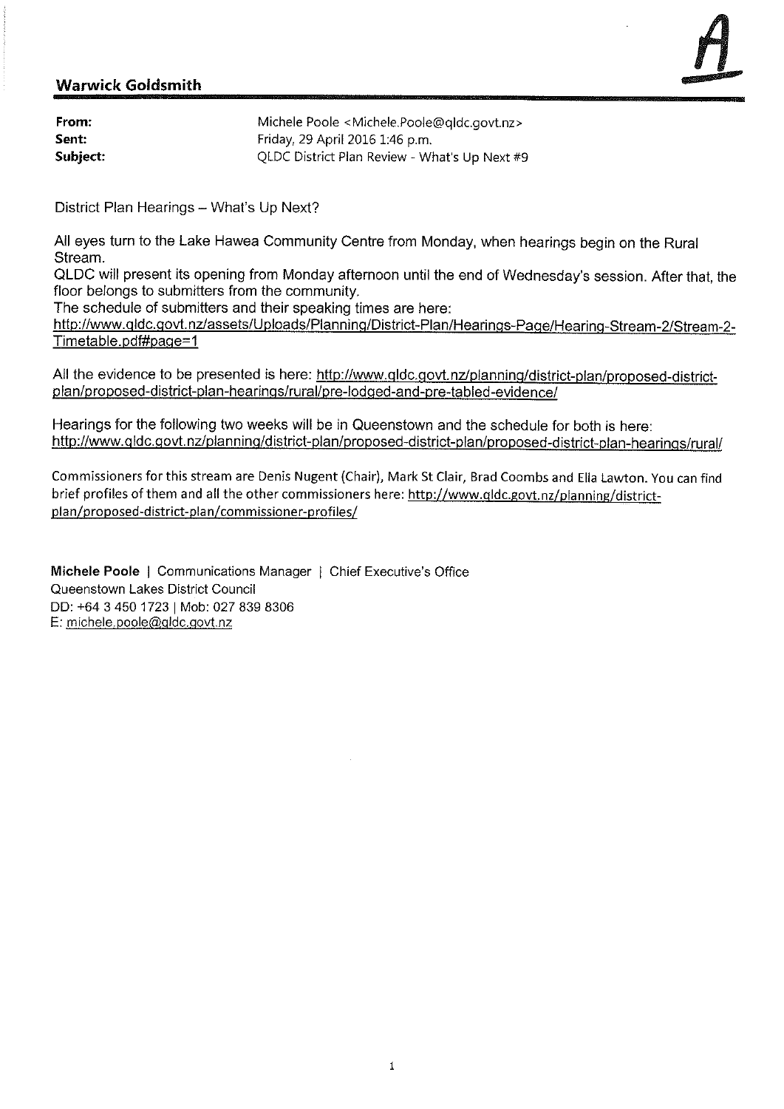## **Warwick Goldsmith**

| From:    | Michele Poole <michele.poole@qldc.govt.nz></michele.poole@qldc.govt.nz> |
|----------|-------------------------------------------------------------------------|
| Sent:    | Friday, 29 April 2016 1:46 p.m.                                         |
| Subject: | QLDC District Plan Review - What's Up Next #9                           |

District Plan Hearings - What's Up Next?

All eyes turn to the Lake Hawea Community Centre from Monday, when hearings begin on the Rural Stream.

QLDC will present its opening from Monday afternoon until the end of Wednesday's session. After that, the floor belongs to submitters from the community.

The schedule of submitters and their speaking times are here:

http://www.qldc.govt.nz/assets/Uploads/Planning/District-Plan/Hearings-Page/Hearing-Stream-2/Stream-2-Timetable.pdf#page=1

All the evidence to be presented is here: http://www.gldc.govt.nz/planning/district-plan/proposed-districtplan/proposed-district-plan-hearings/rural/pre-lodged-and-pre-tabled-evidence/

Hearings for the following two weeks will be in Queenstown and the schedule for both is here: http://www.qldc.govt.nz/planning/district-plan/proposed-district-plan/proposed-district-plan-hearings/rural/

Commissioners for this stream are Denis Nugent (Chair), Mark St Clair, Brad Coombs and Ella Lawton. You can find brief profiles of them and all the other commissioners here: http://www.qldc.govt.nz/planning/districtplan/proposed-district-plan/commissioner-profiles/

Michele Poole | Communications Manager | Chief Executive's Office Queenstown Lakes District Council DD: +64 3 450 1723 | Mob: 027 839 8306 E: michele.poole@gldc.govt.nz